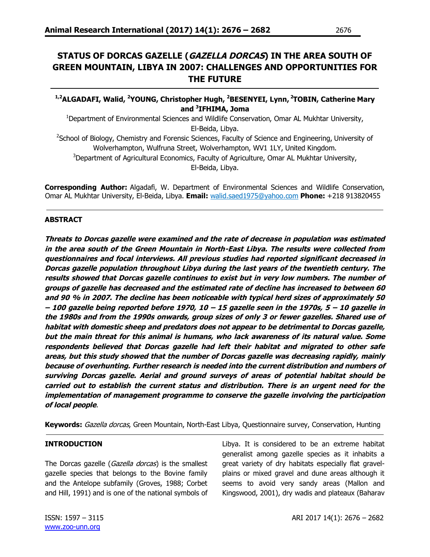# **STATUS OF DORCAS GAZELLE (GAZELLA DORCAS) IN THE AREA SOUTH OF GREEN MOUNTAIN, LIBYA IN 2007: CHALLENGES AND OPPORTUNITIES FOR THE FUTURE**

# **1,2ALGADAFI, Walid, <sup>2</sup>YOUNG, Christopher Hugh, <sup>2</sup>BESENYEI, Lynn, <sup>2</sup>TOBIN, Catherine Mary and <sup>3</sup> IFHIMA, Joma**

<sup>1</sup>Department of Environmental Sciences and Wildlife Conservation, Omar AL Mukhtar University, El-Beida, Libya.

<sup>2</sup>School of Biology, Chemistry and Forensic Sciences, Faculty of Science and Engineering, University of Wolverhampton, Wulfruna Street, Wolverhampton, WV1 1LY, United Kingdom. <sup>3</sup>Department of Agricultural Economics, Faculty of Agriculture, Omar AL Mukhtar University,

El-Beida, Libya.

**Corresponding Author:** Algadafi, W. Department of Environmental Sciences and Wildlife Conservation, Omar AL Mukhtar University, El-Beida, Libya. **Email:** walid.saed1975@yahoo.com **Phone:** +218 913820455

### **ABSTRACT**

**Threats to Dorcas gazelle were examined and the rate of decrease in population was estimated in the area south of the Green Mountain in North-East Libya. The results were collected from questionnaires and focal interviews. All previous studies had reported significant decreased in Dorcas gazelle population throughout Libya during the last years of the twentieth century. The results showed that Dorcas gazelle continues to exist but in very low numbers. The number of groups of gazelle has decreased and the estimated rate of decline has increased to between 60 and 90 % in 2007. The decline has been noticeable with typical herd sizes of approximately 50 – 100 gazelle being reported before 1970, 10 – 15 gazelle seen in the 1970s, 5 – 10 gazelle in the 1980s and from the 1990s onwards, group sizes of only 3 or fewer gazelles. Shared use of habitat with domestic sheep and predators does not appear to be detrimental to Dorcas gazelle, but the main threat for this animal is humans, who lack awareness of its natural value. Some respondents believed that Dorcas gazelle had left their habitat and migrated to other safe areas, but this study showed that the number of Dorcas gazelle was decreasing rapidly, mainly because of overhunting. Further research is needed into the current distribution and numbers of surviving Dorcas gazelle. Aerial and ground surveys of areas of potential habitat should be carried out to establish the current status and distribution. There is an urgent need for the implementation of management programme to conserve the gazelle involving the participation of local people**.

**Keywords:** Gazella dorcas, Green Mountain, North-East Libya, Questionnaire survey, Conservation, Hunting

#### **INTRODUCTION**

The Dorcas gazelle (Gazella dorcas) is the smallest gazelle species that belongs to the Bovine family and the Antelope subfamily (Groves, 1988; Corbet and Hill, 1991) and is one of the national symbols of Libya. It is considered to be an extreme habitat generalist among gazelle species as it inhabits a great variety of dry habitats especially flat gravelplains or mixed gravel and dune areas although it seems to avoid very sandy areas (Mallon and Kingswood, 2001), dry wadis and plateaux (Baharav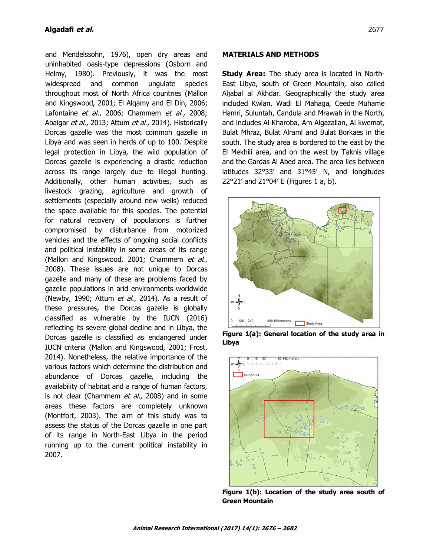and Mendelssohn, 1976), open dry areas and uninhabited oasis-type depressions (Osborn and Helmy, 1980). Previously, it was the most widespread and common ungulate species throughout most of North Africa countries (Mallon and Kingswood, 2001; El Alqamy and El Din, 2006; Lafontaine et al., 2006; Chammem et al., 2008; Abaigar et al., 2013; Attum et al., 2014). Historically Dorcas gazelle was the most common gazelle in Libya and was seen in herds of up to 100. Despite legal protection in Libya, the wild population of Dorcas gazelle is experiencing a drastic reduction across its range largely due to illegal hunting. Additionally, other human activities, such as livestock grazing, agriculture and growth of settlements (especially around new wells) reduced the space available for this species. The potential for natural recovery of populations is further compromised by disturbance from motorized vehicles and the effects of ongoing social conflicts and political instability in some areas of its range (Mallon and Kingswood, 2001; Chammem et al., 2008). These issues are not unique to Dorcas gazelle and many of these are problems faced by gazelle populations in arid environments worldwide (Newby, 1990; Attum et al., 2014). As a result of these pressures, the Dorcas gazelle is globally classified as vulnerable by the IUCN (2016) reflecting its severe global decline and in Libya, the Dorcas gazelle is classified as endangered under IUCN criteria (Mallon and Kingswood, 2001; Frost, 2014). Nonetheless, the relative importance of the various factors which determine the distribution and abundance of Dorcas gazelle, including the availability of habitat and a range of human factors, is not clear (Chammem et al., 2008) and in some areas these factors are completely unknown (Montfort, 2003). The aim of this study was to assess the status of the Dorcas gazelle in one part of its range in North-East Libya in the period running up to the current political instability in 2007.

#### **MATERIALS AND METHODS**

**Study Area:** The study area is located in North-East Libya, south of Green Mountain, also called Aljabal al Akhdar. Geographically the study area included Kwlan, Wadi El Mahaga, Ceede Muhame Hamri, Suluntah, Candula and Mrawah in the North, and includes Al Kharoba, Am Algazallan, Al kwemat, Bulat Mhraz, Bulat Alraml and Bulat Borkaes in the south. The study area is bordered to the east by the El Mekhili area, and on the west by Taknis village and the Gardas Al Abed area. The area lies between latitudes 32°33' and 31°45' N, and longitudes 22°21' and 21°04' E (Figures 1 a, b).



**Figure 1(a): General location of the study area in Libya**



**Figure 1(b): Location of the study area south of Green Mountain**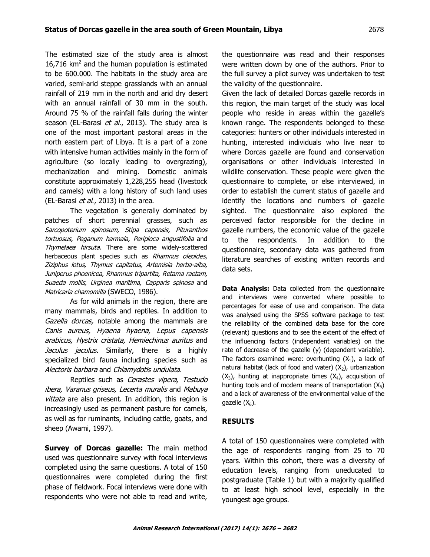The estimated size of the study area is almost  $16,716$  km<sup>2</sup> and the human population is estimated to be 600.000. The habitats in the study area are varied, semi-arid steppe grasslands with an annual rainfall of 219 mm in the north and arid dry desert with an annual rainfall of 30 mm in the south. Around 75 % of the rainfall falls during the winter season (EL-Barasi et al., 2013). The study area is one of the most important pastoral areas in the north eastern part of Libya. It is a part of a zone with intensive human activities mainly in the form of agriculture (so locally leading to overgrazing), mechanization and mining. Domestic animals constitute approximately 1,228,255 head (livestock and camels) with a long history of such land uses (EL-Barasi et al., 2013) in the area.

The vegetation is generally dominated by patches of short perennial grasses, such as Sarcopoterium spinosum, Stipa capensis, Pituranthos tortuosus, Peganum harmala, Periploca angustifolia and Thymelaea hirsuta. There are some widely-scattered herbaceous plant species such as Rhamnus oleoides, Ziziphus lotus, Thymus capitatus, Artemisia herba-alba, Juniperus phoenicea, Rhamnus tripartita, Retama raetam, Suaeda mollis, Urginea maritima, Capparis spinosa and Matricaria chamomilla (SWECO, 1986).

As for wild animals in the region, there are many mammals, birds and reptiles. In addition to Gazella dorcas, notable among the mammals are Canis aureus, Hyaena hyaena, Lepus capensis arabicus, Hystrix cristata, Hemiechinus auritus and Jaculus *jaculus*. Similarly, there is a highly specialized bird fauna including species such as Alectoris barbara and Chlamydotis undulata.

Reptiles such as Cerastes vipera, Testudo ibera, Varanus griseus, Lecerta muralis and Mabuya vittata are also present. In addition, this region is increasingly used as permanent pasture for camels, as well as for ruminants, including cattle, goats, and sheep (Awami, 1997).

**Survey of Dorcas gazelle:** The main method used was questionnaire survey with focal interviews completed using the same questions. A total of 150 questionnaires were completed during the first phase of fieldwork. Focal interviews were done with respondents who were not able to read and write, the questionnaire was read and their responses were written down by one of the authors. Prior to the full survey a pilot survey was undertaken to test the validity of the questionnaire.

Given the lack of detailed Dorcas gazelle records in this region, the main target of the study was local people who reside in areas within the gazelle's known range. The respondents belonged to these categories: hunters or other individuals interested in hunting, interested individuals who live near to where Dorcas gazelle are found and conservation organisations or other individuals interested in wildlife conservation. These people were given the questionnaire to complete, or else interviewed, in order to establish the current status of gazelle and identify the locations and numbers of gazelle sighted. The questionnaire also explored the perceived factor responsible for the decline in gazelle numbers, the economic value of the gazelle to the respondents. In addition to the questionnaire, secondary data was gathered from literature searches of existing written records and data sets.

**Data Analysis:** Data collected from the questionnaire and interviews were converted where possible to percentages for ease of use and comparison. The data was analysed using the SPSS software package to test the reliability of the combined data base for the core (relevant) questions and to see the extent of the effect of the influencing factors (independent variables) on the rate of decrease of the gazelle (y) (dependent variable). The factors examined were: overhunting  $(X_1)$ , a lack of natural habitat (lack of food and water)  $(X_2)$ , urbanization  $(X_3)$ , hunting at inappropriate times  $(X_4)$ , acquisition of hunting tools and of modern means of transportation  $(X_5)$ and a lack of awareness of the environmental value of the gazelle  $(X_6)$ .

# **RESULTS**

A total of 150 questionnaires were completed with the age of respondents ranging from 25 to 70 years. Within this cohort, there was a diversity of education levels, ranging from uneducated to postgraduate (Table 1) but with a majority qualified to at least high school level, especially in the youngest age groups.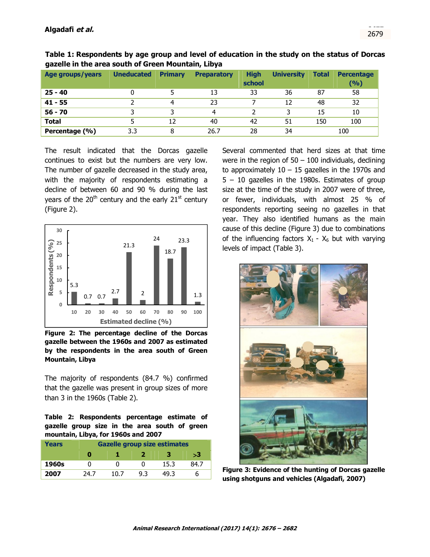| Age groups/years | <b>Uneducated</b> | <b>Primary</b> | <b>Preparatory</b> | <b>High</b><br>school | <b>University</b> | <b>Total</b> | <b>Percentage</b><br>(%) |  |  |
|------------------|-------------------|----------------|--------------------|-----------------------|-------------------|--------------|--------------------------|--|--|
| $25 - 40$        |                   |                | 13                 | 33                    | 36                | 87           | 58                       |  |  |
| $41 - 55$        |                   | 4              | 23                 |                       | 12                | 48           | 32                       |  |  |
| $56 - 70$        |                   |                | 4                  |                       |                   | 15           | 10                       |  |  |
| <b>Total</b>     |                   | 12             | 40                 | 42                    | 51                | 150          | 100                      |  |  |
| Percentage (%)   | 3.3               | 8              | 26.7               | 28                    | 34                |              | 100                      |  |  |

**Table 1: Respondents by age group and level of education in the study on the status of Dorcas gazelle in the area south of Green Mountain, Libya**

The result indicated that the Dorcas gazelle continues to exist but the numbers are very low. The number of gazelle decreased in the study area, with the majority of respondents estimating a decline of between 60 and 90 % during the last years of the  $20<sup>th</sup>$  century and the early  $21<sup>st</sup>$  century (Figure 2).



**Figure 2: The percentage decline of the Dorcas gazelle between the 1960s and 2007 as estimated by the respondents in the area south of Green Mountain, Libya**

The majority of respondents (84.7 %) confirmed that the gazelle was present in group sizes of more than 3 in the 1960s (Table 2).

#### **Table 2: Respondents percentage estimate of gazelle group size in the area south of green mountain, Libya, for 1960s and 2007**

| Years | <b>Gazelle group size estimates</b> |      |     |      |      |  |  |  |  |
|-------|-------------------------------------|------|-----|------|------|--|--|--|--|
|       |                                     |      |     |      | >3   |  |  |  |  |
| 1960s | O                                   |      |     | 15.3 | 84.7 |  |  |  |  |
| 2007  | 24.7                                | 10 7 | 9.3 | 49.3 |      |  |  |  |  |

Several commented that herd sizes at that time were in the region of  $50 - 100$  individuals, declining to approximately  $10 - 15$  gazelles in the 1970s and 5 – 10 gazelles in the 1980s. Estimates of group size at the time of the study in 2007 were of three, or fewer, individuals, with almost 25 % of respondents reporting seeing no gazelles in that year. They also identified humans as the main cause of this decline (Figure 3) due to combinations of the influencing factors  $X_1 - X_6$  but with varying levels of impact (Table 3).



**Figure 3: Evidence of the hunting of Dorcas gazelle using shotguns and vehicles (Algadafi, 2007)**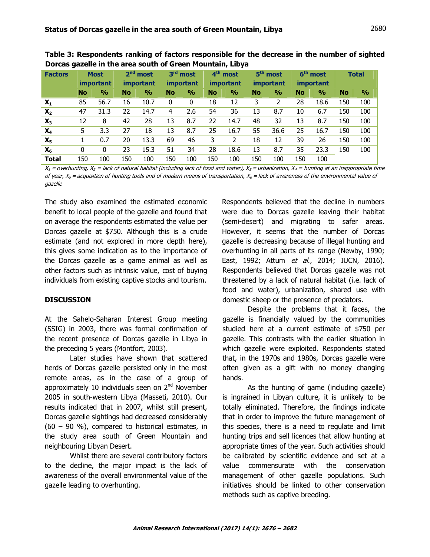| <b>Factors</b> | <b>Most</b><br><i>important</i> |               | $2nd$ most<br><i>important</i> |               | 3 <sup>rd</sup> most<br><i>important</i> |               | 4 <sup>th</sup> most<br><i>important</i> |               | 5 <sup>th</sup> most<br><i>important</i> |               | 6 <sup>th</sup> most<br><i>important</i> |               | <b>Total</b> |               |
|----------------|---------------------------------|---------------|--------------------------------|---------------|------------------------------------------|---------------|------------------------------------------|---------------|------------------------------------------|---------------|------------------------------------------|---------------|--------------|---------------|
|                | No                              | $\frac{9}{6}$ | <b>No</b>                      | $\frac{0}{0}$ | <b>No</b>                                | $\frac{0}{0}$ | <b>No</b>                                | $\frac{0}{0}$ | <b>No</b>                                | $\frac{0}{0}$ | <b>No</b>                                | $\frac{0}{0}$ | <b>No</b>    | $\frac{0}{0}$ |
| $X_1$          | 85                              | 56.7          | 16                             | 10.7          | 0                                        | 0             | 18                                       | 12            | 3                                        | 2             | 28                                       | 18.6          | 150          | 100           |
| $X_2$          | 47                              | 31.3          | 22                             | 14.7          | 4                                        | 2.6           | 54                                       | 36            | 13                                       | 8.7           | 10                                       | 6.7           | 150          | 100           |
| $X_3$          | 12                              | 8             | 42                             | 28            | 13                                       | 8.7           | 22                                       | 14.7          | 48                                       | 32            | 13                                       | 8.7           | 150          | 100           |
| $X_4$          | 5.                              | 3.3           | 27                             | 18            | 13                                       | 8.7           | 25                                       | 16.7          | 55                                       | 36.6          | 25                                       | 16.7          | 150          | 100           |
| X <sub>5</sub> |                                 | 0.7           | 20                             | 13.3          | 69                                       | 46            | 3                                        | 2             | 18                                       | 12            | 39                                       | 26            | 150          | 100           |
| $X_6$          | 0                               | 0             | 23                             | 15.3          | 51                                       | 34            | 28                                       | 18.6          | 13                                       | 8.7           | 35                                       | 23.3          | 150          | 100           |
| <b>Total</b>   | 150                             | 100           | 150                            | 100           | 150                                      | 100           | 150                                      | 100           | 150                                      | 100           | 150                                      | 100           |              |               |

**Table 3: Respondents ranking of factors responsible for the decrease in the number of sighted Dorcas gazelle in the area south of Green Mountain, Libya**

 $X_1$  = overhunting,  $X_2$  = lack of natural habitat (including lack of food and water),  $X_3$  = urbanization,  $X_4$  = hunting at an inappropriate time of year,  $X_5$  = acquisition of hunting tools and of modern means of transportation,  $X_6$  = lack of awareness of the environmental value of gazelle

The study also examined the estimated economic benefit to local people of the gazelle and found that on average the respondents estimated the value per Dorcas gazelle at \$750. Although this is a crude estimate (and not explored in more depth here), this gives some indication as to the importance of the Dorcas gazelle as a game animal as well as other factors such as intrinsic value, cost of buying individuals from existing captive stocks and tourism.

#### **DISCUSSION**

At the Sahelo-Saharan Interest Group meeting (SSIG) in 2003, there was formal confirmation of the recent presence of Dorcas gazelle in Libya in the preceding 5 years (Montfort, 2003).

Later studies have shown that scattered herds of Dorcas gazelle persisted only in the most remote areas, as in the case of a group of approximately 10 individuals seen on  $2<sup>nd</sup>$  November 2005 in south-western Libya (Masseti, 2010). Our results indicated that in 2007, whilst still present, Dorcas gazelle sightings had decreased considerably (60 – 90 %), compared to historical estimates, in the study area south of Green Mountain and neighbouring Libyan Desert.

Whilst there are several contributory factors to the decline, the major impact is the lack of awareness of the overall environmental value of the gazelle leading to overhunting.

Respondents believed that the decline in numbers were due to Dorcas gazelle leaving their habitat (semi-desert) and migrating to safer areas. However, it seems that the number of Dorcas gazelle is decreasing because of illegal hunting and overhunting in all parts of its range (Newby, 1990; East, 1992; Attum et al., 2014; IUCN, 2016). Respondents believed that Dorcas gazelle was not threatened by a lack of natural habitat (i.e. lack of food and water), urbanization, shared use with domestic sheep or the presence of predators.

Despite the problems that it faces, the gazelle is financially valued by the communities studied here at a current estimate of \$750 per gazelle. This contrasts with the earlier situation in which gazelle were exploited. Respondents stated that, in the 1970s and 1980s, Dorcas gazelle were often given as a gift with no money changing hands.

As the hunting of game (including gazelle) is ingrained in Libyan culture, it is unlikely to be totally eliminated. Therefore, the findings indicate that in order to improve the future management of this species, there is a need to regulate and limit hunting trips and sell licences that allow hunting at appropriate times of the year. Such activities should be calibrated by scientific evidence and set at a value commensurate with the conservation management of other gazelle populations. Such initiatives should be linked to other conservation methods such as captive breeding.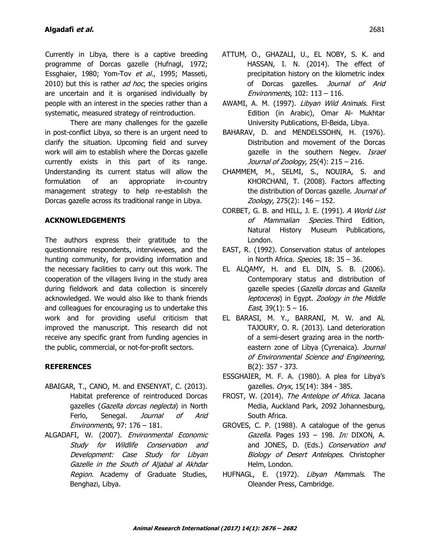Currently in Libya, there is a captive breeding programme of Dorcas gazelle (Hufnagl, 1972; Essghaier, 1980; Yom-Tov et al., 1995; Masseti, 2010) but this is rather *ad hoc*, the species origins are uncertain and it is organised individually by people with an interest in the species rather than a systematic, measured strategy of reintroduction.

There are many challenges for the gazelle in post-conflict Libya, so there is an urgent need to clarify the situation. Upcoming field and survey work will aim to establish where the Dorcas gazelle currently exists in this part of its range. Understanding its current status will allow the formulation of an appropriate in-country management strategy to help re-establish the Dorcas gazelle across its traditional range in Libya.

### **ACKNOWLEDGEMENTS**

The authors express their gratitude to the questionnaire respondents, interviewees, and the hunting community, for providing information and the necessary facilities to carry out this work. The cooperation of the villagers living in the study area during fieldwork and data collection is sincerely acknowledged. We would also like to thank friends and colleagues for encouraging us to undertake this work and for providing useful criticism that improved the manuscript. This research did not receive any specific grant from funding agencies in the public, commercial, or not-for-profit sectors.

# **REFERENCES**

- ABAIGAR, T., CANO, M. and ENSENYAT, C. (2013). Habitat preference of reintroduced Dorcas gazelles (Gazella dorcas neglecta) in North Ferlo, Senegal, *Journal of Arid* Environments, 97: 176 – 181.
- ALGADAFI, W. (2007). Environmental Economic Study for Wildlife Conservation and Development: Case Study for Libyan Gazelle in the South of Aljabal al Akhdar Region. Academy of Graduate Studies, Benghazi, Libya.
- ATTUM, O., GHAZALI, U., EL NOBY, S. K. and HASSAN, I. N. (2014). The effect of precipitation history on the kilometric index of Dorcas gazelles. Journal of Arid Environments, 102: 113 – 116.
- AWAMI, A. M. (1997). Libyan Wild Animals. First Edition (in Arabic), Omar Al- Mukhtar University Publications, El-Beida, Libya.
- BAHARAV, D. and MENDELSSOHN, H. (1976). Distribution and movement of the Dorcas gazelle in the southern Negev. Israel Journal of Zoology, 25(4): 215 – 216.
- CHAMMEM, M., SELMI, S., NOUIRA, S. and KHORCHANI, T. (2008). Factors affecting the distribution of Dorcas gazelle. Journal of Zoology, 275(2): 146 – 152.
- CORBET, G. B. and HILL, J. E. (1991). A World List of Mammalian Species. Third Edition, Natural History Museum Publications, London.
- EAST, R. (1992). Conservation status of antelopes in North Africa. Species, 18: 35 - 36.
- EL ALQAMY, H. and EL DIN, S. B. (2006). Contemporary status and distribution of gazelle species (Gazella dorcas and Gazella leptoceros) in Egypt. Zoology in the Middle *East*, 39(1):  $5 - 16$ .
- EL BARASI, M. Y., BARRANI, M. W. and AL TAJOURY, O. R. (2013). Land deterioration of a semi-desert grazing area in the northeastern zone of Libya (Cyrenaica). Journal of Environmental Science and Engineering, B(2): 357 - 373.
- ESSGHAIER, M. F. A. (1980). A plea for Libya's gazelles. Oryx, 15(14): 384 - 385.
- FROST, W. (2014). The Antelope of Africa. Jacana Media, Auckland Park, 2092 Johannesburg, South Africa.
- GROVES, C. P. (1988). A catalogue of the genus Gazella. Pages 193 - 198. In: DIXON, A. and JONES, D. (Eds.) Conservation and Biology of Desert Antelopes. Christopher Helm, London.
- HUFNAGL, E. (1972). Libyan Mammals. The Oleander Press, Cambridge.